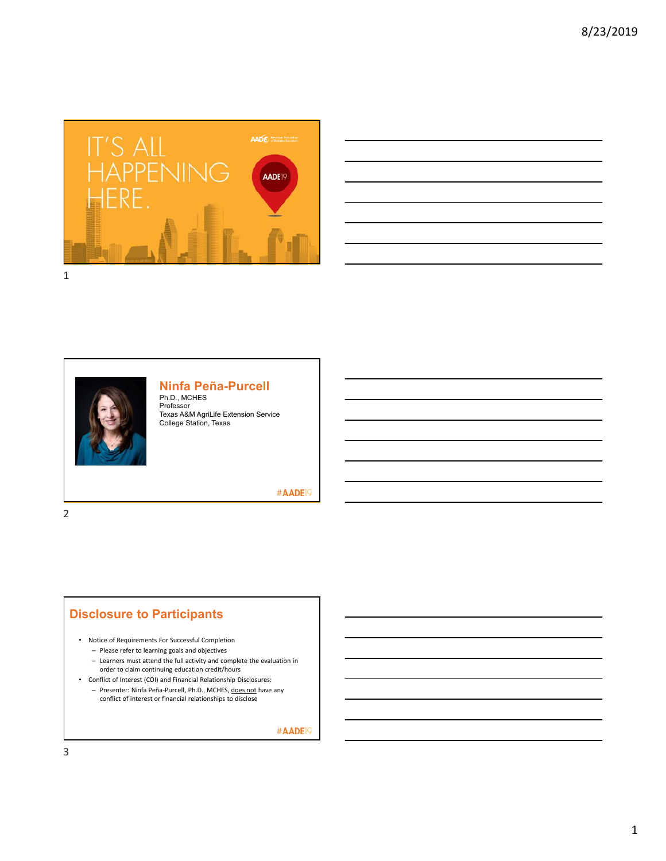





#### **Ninfa Peña-Purcell**

Ph.D., MCHES Professor Texas A&M AgriLife Extension Service College Station, Texas

#### #AADE<sup>19</sup>

2

### **Disclosure to Participants**

• Notice of Requirements For Successful Completion

- Please refer to learning goals and objectives
- Learners must attend the full activity and complete the evaluation in order to claim continuing education credit/hours
- Conflict of Interest (COI) and Financial Relationship Disclosures: – Presenter: Ninfa Peña‐Purcell, Ph.D., MCHES, does not have any conflict of interest or financial relationships to disclose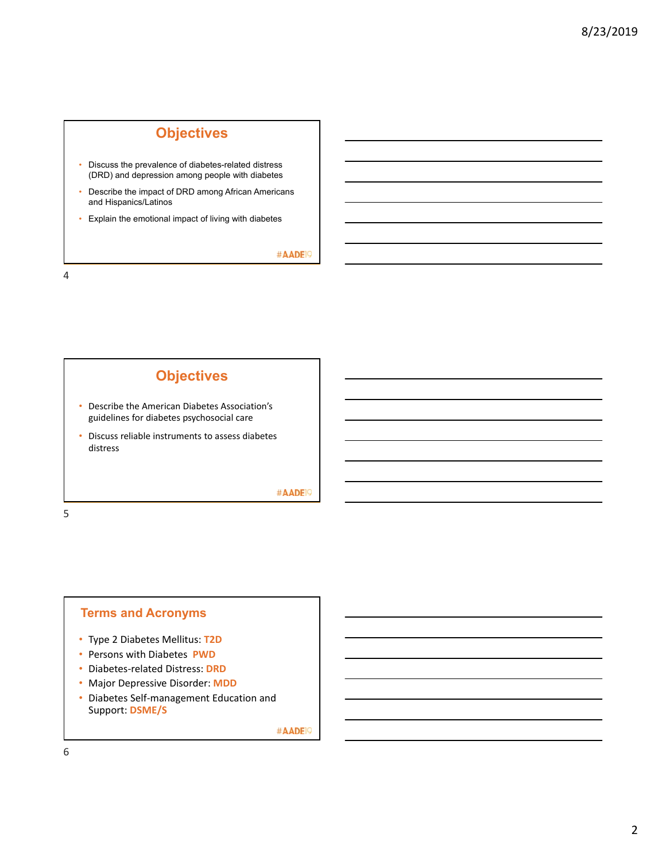# **Objectives**

- Discuss the prevalence of diabetes-related distress (DRD) and depression among people with diabetes
- Describe the impact of DRD among African Americans and Hispanics/Latinos
- Explain the emotional impact of living with diabetes

#AADE<sup>19</sup>

4



5

### **Terms and Acronyms**

- Type 2 Diabetes Mellitus: **T2D**
- Persons with Diabetes **PWD**
- Diabetes‐related Distress: **DRD**
- Major Depressive Disorder: **MDD**
- Diabetes Self‐management Education and Support: **DSME/S**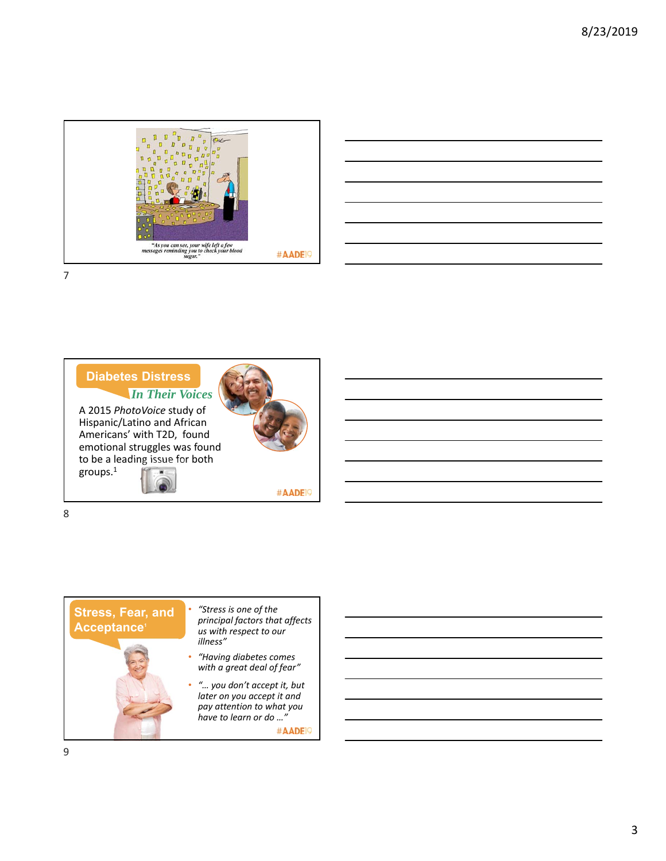







## **Stress, Fear, and Acceptance1**



- *"Stress is one of the principal factors that affects us with respect to our illness"*
- *"Having diabetes comes with a great deal of fear"*
- *"… you don't accept it, but later on you accept it and pay attention to what you have to learn or do …"* #AADE<sup>19</sup>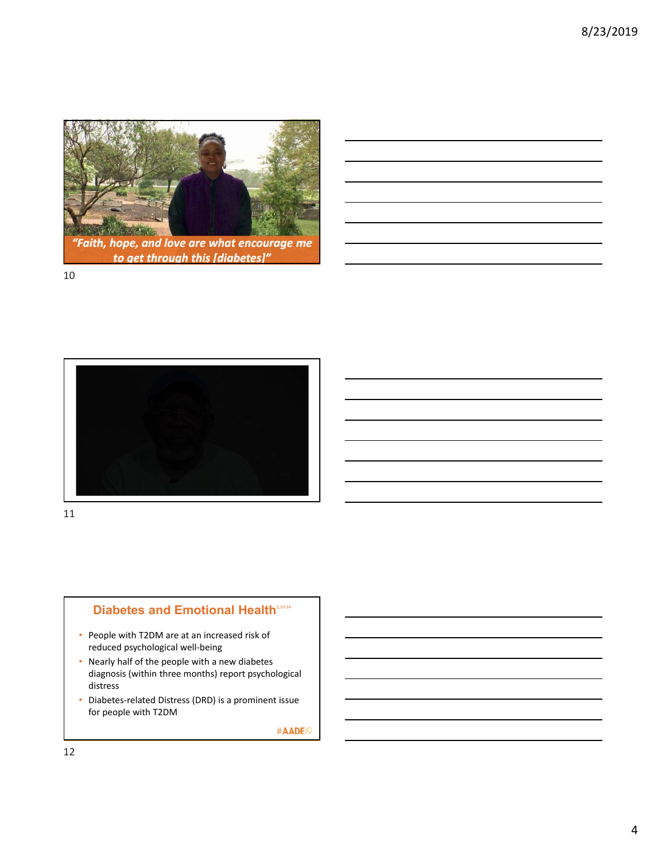

*to get through this [diabetes]"*



11



- People with T2DM are at an increased risk of reduced psychological well‐being
- Nearly half of the people with a new diabetes diagnosis (within three months) report psychological distress
- Diabetes‐related Distress (DRD) is a prominent issue for people with T2DM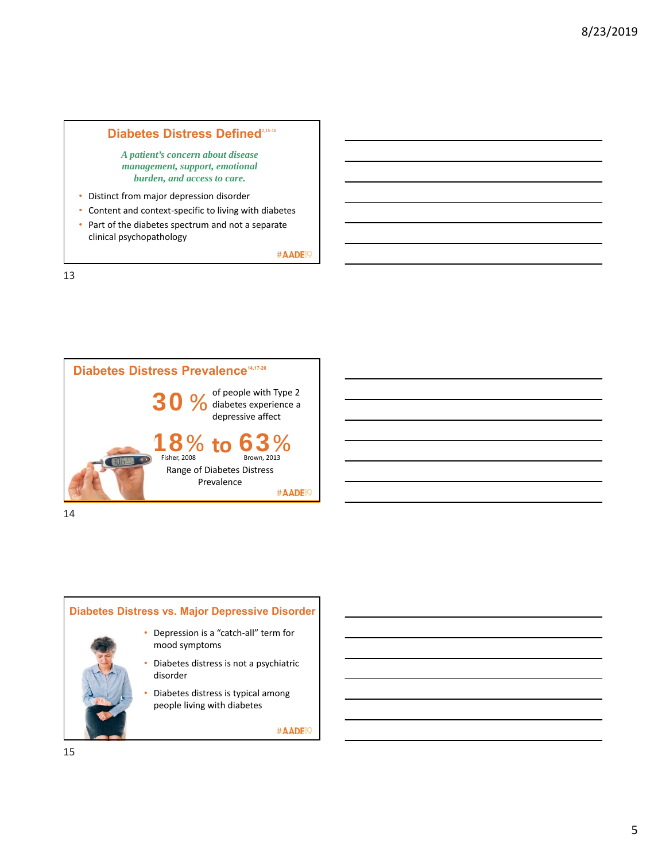### Diabetes Distress Defined<sup>2,15-16</sup>

*A patient's concern about disease management, support, emotional burden, and access to care.* 

- Distinct from major depression disorder
- Content and context‐specific to living with diabetes
- Part of the diabetes spectrum and not a separate clinical psychopathology

#AADE<sup>19</sup>

13





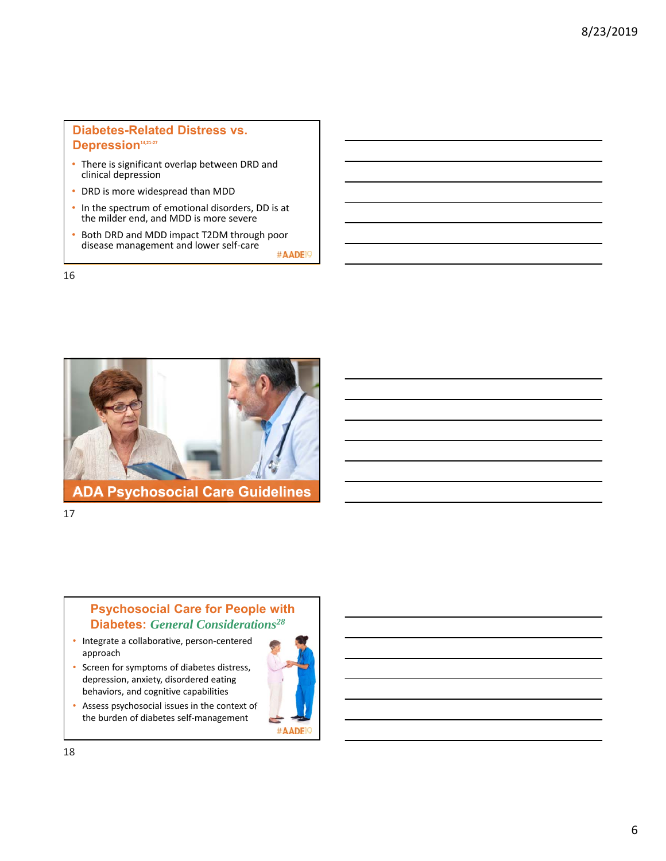#### **Diabetes-Related Distress vs. Depression14,21‐27**

- There is significant overlap between DRD and clinical depression
- DRD is more widespread than MDD
- In the spectrum of emotional disorders, DD is at the milder end, and MDD is more severe
- Both DRD and MDD impact T2DM through poor disease management and lower self‐care #AADE<sup>19</sup>

16



**ADA Psychosocial Care Guidelines**

17

### **Psychosocial Care for People with Diabetes:** *General Considerations28*

- Integrate a collaborative, person‐centered approach
- Screen for symptoms of diabetes distress, depression, anxiety, disordered eating behaviors, and cognitive capabilities
- Assess psychosocial issues in the context of the burden of diabetes self‐management

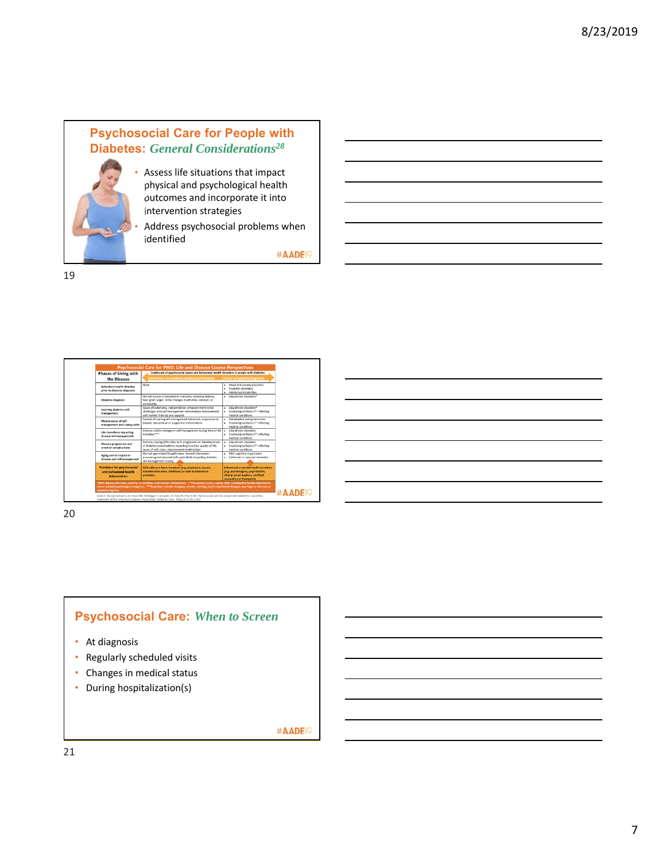

#### Assess life situations that impact physical and psychological health outcomes and incorporate it into intervention strategies

Address psychosocial problems when identified

#AADE<sup>19</sup>

19



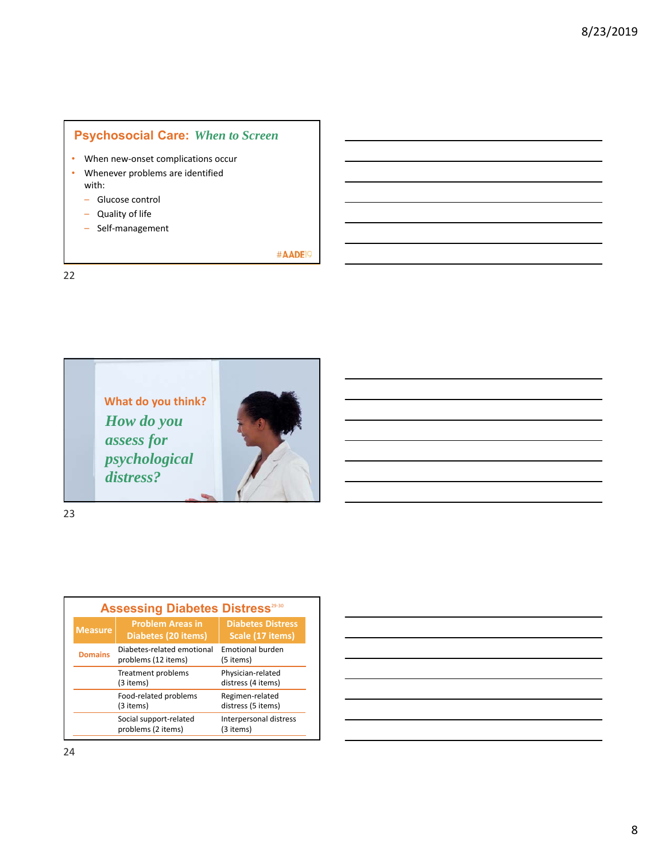#### **Psychosocial Care:** *When to Screen*

- When new-onset complications occur
- Whenever problems are identified with:
	- Glucose control
	- Quality of life
	- Self‐management

#AADE<sup>19</sup>

22





| <b>Assessing Diabetes Distress</b> <sup>29-30</sup> |                                                   |                                              |
|-----------------------------------------------------|---------------------------------------------------|----------------------------------------------|
| <b>Measure</b>                                      | <b>Problem Areas in</b><br>Diabetes (20 items)    | <b>Diabetes Distress</b><br>Scale (17 items) |
| <b>Domains</b>                                      | Diabetes-related emotional<br>problems (12 items) | Emotional burden<br>(5 items)                |
|                                                     | Treatment problems<br>(3 items)                   | Physician-related<br>distress (4 items)      |
|                                                     | Food-related problems<br>(3 items)                | Regimen-related<br>distress (5 items)        |
|                                                     | Social support-related<br>problems (2 items)      | Interpersonal distress<br>(3 items)          |

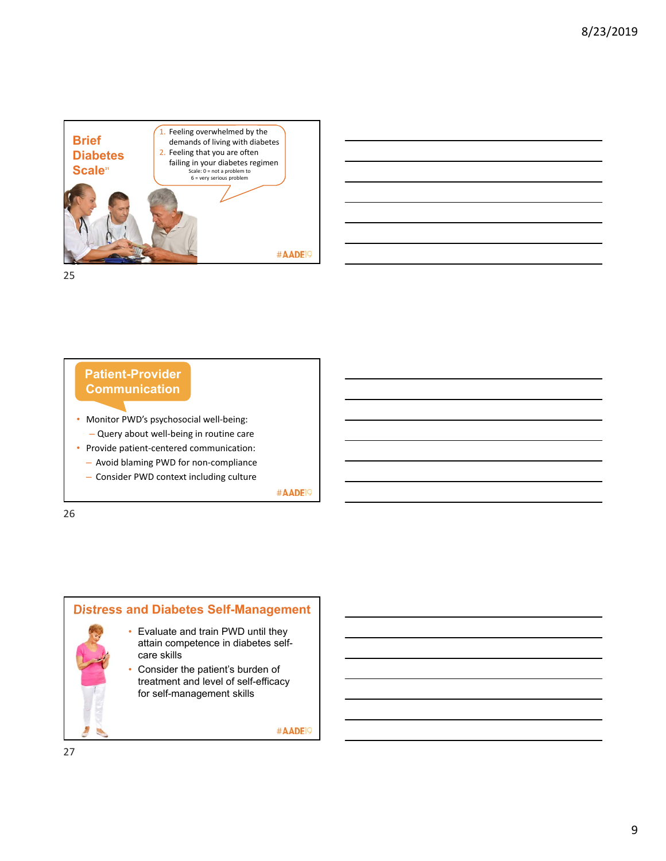





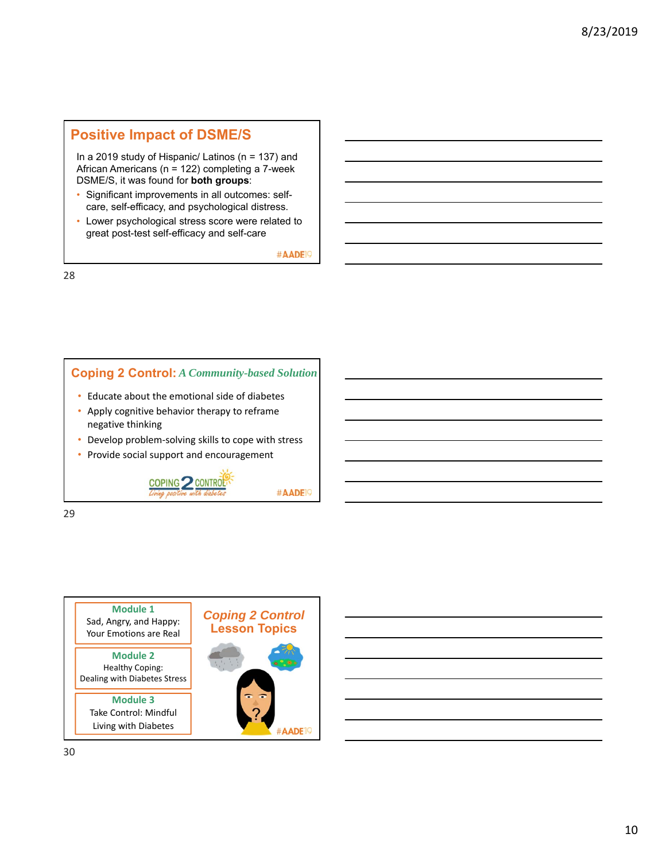## **Positive Impact of DSME/S**

In a 2019 study of Hispanic/ Latinos (n = 137) and African Americans (n = 122) completing a 7-week DSME/S, it was found for **both groups**:

- Significant improvements in all outcomes: selfcare, self-efficacy, and psychological distress.
- Lower psychological stress score were related to great post-test self-efficacy and self-care

#AADE<sup>1</sup>

28



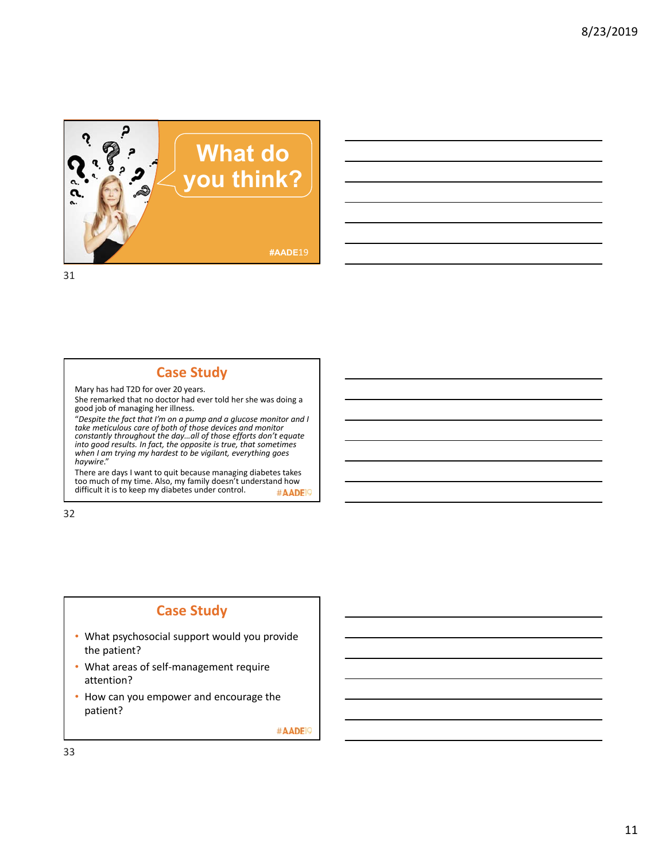

## **Case Study**

Mary has had T2D for over 20 years. She remarked that no doctor had ever told her she was doing a good job of managing her illness.

"*Despite the fact that I'm on a pump and a glucose monitor and I take meticulous care of both of those devices and monitor constantly throughout the day…all of those efforts don't equate into good results. In fact, the opposite is true, that sometimes when I am trying my hardest to be vigilant, everything goes haywire*."

There are days I want to quit because managing diabetes takes too much of my time. Also, my family doesn't understand how<br>difficult it is to keep my diabetes under control. #AADE<sup>19</sup>

32

## **Case Study**

- What psychosocial support would you provide the patient?
- What areas of self‐management require attention?
- How can you empower and encourage the patient?